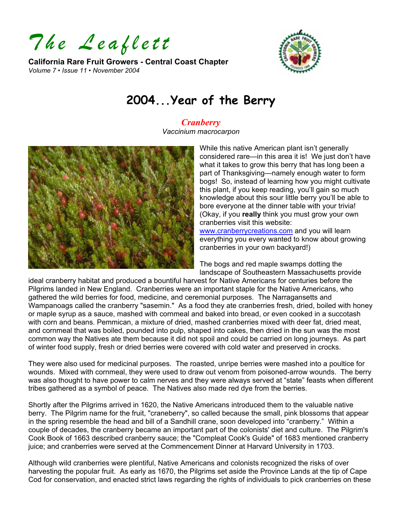*The Leaflett* 

**California Rare Fruit Growers - Central Coast Chapter**  *Volume 7 • Issue 11 • November 2004* 



# **2004...Year of the Berry**

## *Cranberry*

*Vaccinium macrocarpon* 



While this native American plant isn't generally considered rare—in this area it is! We just don't have what it takes to grow this berry that has long been a part of Thanksgiving—namely enough water to form bogs! So, instead of learning how you might cultivate this plant, if you keep reading, you'll gain so much knowledge about this sour little berry you'll be able to bore everyone at the dinner table with your trivia! (Okay, if you **really** think you must grow your own cranberries visit this website:

[www.cranberrycreations.com](http://www.cranberrycreations.com/) and you will learn everything you every wanted to know about growing cranberries in your own backyard!)

The bogs and red maple swamps dotting the landscape of Southeastern Massachusetts provide

ideal cranberry habitat and produced a bountiful harvest for Native Americans for centuries before the Pilgrims landed in New England. Cranberries were an important staple for the Native Americans, who gathered the wild berries for food, medicine, and ceremonial purposes. The Narragansetts and Wampanoags called the cranberry "sasemin." As a food they ate cranberries fresh, dried, boiled with hon ey or maple syrup as a sauce, mashed with cornmeal and baked into bread, or even cooked in a succotash with corn and beans. Pemmican, a mixture of dried, mashed cranberries mixed with deer fat, dried meat, and cornmeal that was boiled, pounded into pulp, shaped into cakes, then dried in the sun was the most common way the Natives ate them because it did not spoil and could be carried on long journeys. As part of winter food supply, fresh or dried b erries were covered with cold water and preserved in crocks.

They were also used for medicinal purposes. The roasted, unripe berries were mashed into a poultice for wounds. Mixed with cornmeal, they were used to draw out venom from poisoned-arrow wounds. The berry was also thought to have power to calm nerves and they were always served at "state" feasts when different tribes gathered as a symbol of peace. The Natives also made red dye from the berries.

Shortly after the Pilgrims arrived in 1620, the Native Americans introduced them to the valuable native berry. The Pilgrim name for the fruit, "craneberry", so called because the small, pink blossoms that appear in the spring resemble the head and bill of a Sandhill crane, soon developed into "cranberry." Within a couple of decades, the cranberry became an important part of the colonists' diet and culture. The Pilgrim's Cook Book of 1663 described cranberry sauce; the "Compleat Cook's Guide" of 1683 mentioned cranberry juice; and cranberries were served at the Commencement Dinner at Harvard University in 1703.

Although wild cranberries were plentiful, Native Americans and colonists recognized the risks of over harvesting the popular fruit. As early as 1670, the Pilgrims set aside the Province Lands at the tip of Cape Cod for conservation, and enacted strict laws regarding the rights of individuals to pick cranberries on these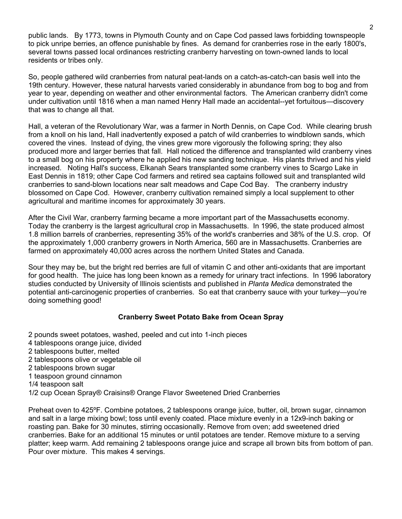public lands. By 1773, towns in Plymouth County and on Cape Cod passed laws forbidding townspeople to pick unripe berries, an offence punishable by fines. As demand for cranberries rose in the early 1800's, several towns passed local ordinances restricting cranberry harvesting on town-owned lands to local residents or tribes only.

So, people gathered wild cranberries from natural peat-lands on a catch-as-catch-can basis well into the 19th century. However, these natural harvests varied considerably in abundance from bog to bog and from year to year, depending on weather and other environmental factors. The American cranberry didn't come under cultivation until 1816 when a man named Henry Hall made an accidental--yet fortuitous—discovery that was to change all that.

Hall, a veteran of the Revolutionary War, was a farmer in North Dennis, on Cape Cod. While clearing brush from a knoll on his land, Hall inadvertently exposed a patch of wild cranberries to windblown sands, which covered the vines. Instead of dying, the vines grew more vigorously the following spring; they also produced more and larger berries that fall. Hall noticed the difference and transplanted wild cranberry vines to a small bog on his property where he applied his new sanding technique. His plants thrived and his yield increased. Noting Hall's success, Elkanah Sears transplanted some cranberry vines to Scargo Lake in East Dennis in 1819; other Cape Cod farmers and retired sea captains followed suit and transplanted wild cranberries to sand-blown locations near salt meadows and Cape Cod Bay. The cranberry industry blossomed on Cape Cod. However, cranberry cultivation remained simply a local supplement to other agricultural and maritime incomes for approximately 30 years.

After the Civil War, cranberry farming became a more important part of the Massachusetts economy. Today the cranberry is the largest agricultural crop in Massachusetts. In 1996, the state produced almost 1.8 million barrels of cranberries, representing 35% of the world's cranberries and 38% of the U.S. crop. Of the approximately 1,000 cranberry growers in North America, 560 are in Massachusetts. Cranberries are farmed on approximately 40,000 acres across the northern United States and Canada.

Sour they may be, but the bright red berries are full of vitamin C and other anti-oxidants that are important for good health. The juice has long been known as a remedy for urinary tract infections. In 1996 laboratory studies conducted by University of Illinois scientists and published in *Planta Medica* demonstrated the potential anti-carcinogenic properties of cranberries. So eat that cranberry sauce with your turkey—you're doing something good!

#### **Cranberry Sweet Potato Bake from Ocean Spray**

- 2 pounds sweet potatoes, washed, peeled and cut into 1-inch pieces
- 4 tablespoons orange juice, divided
- 2 tablespoons butter, melted
- 2 tablespoons olive or vegetable oil
- 2 tablespoons brown sugar
- 1 teaspoon ground cinnamon
- 1/4 teaspoon salt
- 1/2 cup Ocean Spray® Craisins® Orange Flavor Sweetened Dried Cranberries

Preheat oven to 425ºF. Combine potatoes, 2 tablespoons orange juice, butter, oil, brown sugar, cinnamon and salt in a large mixing bowl; toss until evenly coated. Place mixture evenly in a 12x9-inch baking or roasting pan. Bake for 30 minutes, stirring occasionally. Remove from oven; add sweetened dried cranberries. Bake for an additional 15 minutes or until potatoes are tender. Remove mixture to a serving platter; keep warm. Add remaining 2 tablespoons orange juice and scrape all brown bits from bottom of pan. Pour over mixture. This makes 4 servings.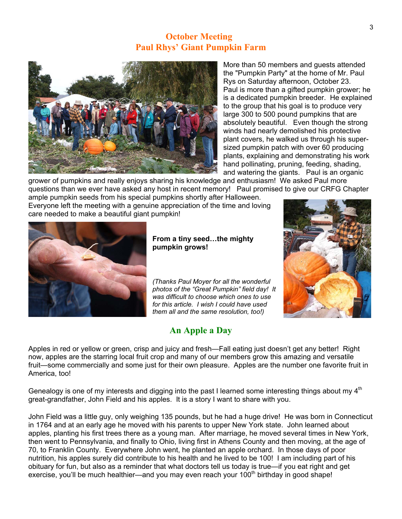### **October Meeting Paul Rhys' Giant Pumpkin Farm**



More than 50 members and guests attended the "Pumpkin Party" at the home of Mr. Paul Rys on Saturday afternoon, October 23. Paul is more than a gifted pumpkin grower; he is a dedicated pumpkin breeder. He explained to the group that his goal is to produce very large 300 to 500 pound pumpkins that are absolutely beautiful. Even though the strong winds had nearly demolished his protective plant covers, he walked us through his supersized pumpkin patch with over 60 producing plants, explaining and demonstrating his work hand pollinating, pruning, feeding, shading, and watering the giants. Paul is an organic

grower of pumpkins and really enjoys sharing his knowledge and enthusiasm! We asked Paul more questions than we ever have asked any host in recent memory! Paul promised to give our CRFG Chapter

ample pumpkin seeds from his special pumpkins shortly after Halloween. Everyone left the meeting with a genuine appreciation of the time and loving care needed to make a beautiful giant pumpkin!



**From a tiny seed…the mighty pumpkin grows!**

*t photos of the "Great Pumpkin" field day! I (Thanks Paul Moyer for all the wonderful was difficult to choose which ones to use for this article. I wish I could have used them all and the same resolution, too!)*

## **An Apple a Day**



Apples in red or yellow or green, crisp and juicy and fresh—Fall eating just doesn't get any better! Right fruit—some commercially and some just for their own pleasure. Apples are the number one favorite fruit in now, apples are the starring local fruit crop and many of our members grow this amazing and versatile America, too!

Genealogy is one of my interests and digging into the past I learned some interesting things about my  $4<sup>th</sup>$ great-grandfather, John Field and his apples. It is a story I want to share with you.

John Field was a little guy, only weighing 135 pounds, but he had a huge drive! He was born in Connecticut apples, planting his first trees there as a young man. After marriage, he moved several times in New York, nutrition, his apples surely did contribute to his health and he lived to be 100! I am including part of his in 1764 and at an early age he moved with his parents to upper New York state. John learned about then went to Pennsylvania, and finally to Ohio, living first in Athens County and then moving, at the age of 70, to Franklin County. Everywhere John went, he planted an apple orchard. In those days of poor obituary for fun, but also as a reminder that what doctors tell us today is true—if you eat right and get exercise, you'll be much healthier—and you may even reach your  $100<sup>th</sup>$  birthday in good shape!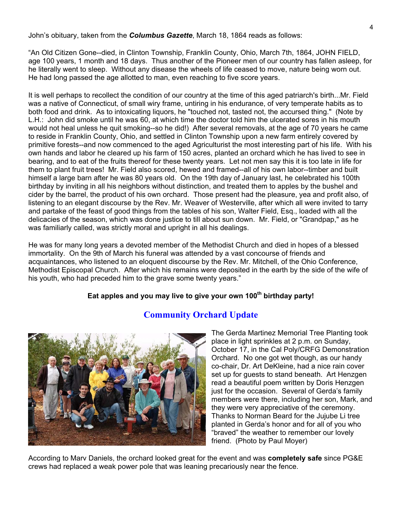John's obituary, taken from the *Columbus Gazette*, March 18, 1864 reads as follows:

"An Old Citizen Gone--died, in Clinton Township, Franklin County, Ohio, March 7th, 1864, JOHN FIELD, age 100 years, 1 month and 18 days. Thus another of the Pioneer men of our country has fallen asleep, for he literally went to sleep. Without any disease the wheels of life ceased to move, nature being worn out. He had long passed the age allotted to man, even reaching to five score years.

It is well perhaps to recollect the condition of our country at the time of this aged patriarch's birth...Mr. Field was a native of Connecticut, of small wiry frame, untiring in his endurance, of very temperate habits as to both food and drink. As to intoxicating liquors, he "touched not, tasted not, the accursed thing." (Note by L.H.: John did smoke until he was 60, at which time the doctor told him the ulcerated sores in his mouth would not heal unless he quit smoking--so he did!) After several removals, at the age of 70 years he came to reside in Franklin County, Ohio, and settled in Clinton Township upon a new farm entirely covered by primitive forests--and now commenced to the aged Agriculturist the most interesting part of his life. With his own hands and labor he cleared up his farm of 150 acres, planted an orchard which he has lived to see in bearing, and to eat of the fruits thereof for these twenty years. Let not men say this it is too late in life for them to plant fruit trees! Mr. Field also scored, hewed and framed--all of his own labor--timber and built himself a large barn after he was 80 years old. On the 19th day of January last, he celebrated his 100th birthday by inviting in all his neighbors without distinction, and treated them to apples by the bushel and cider by the barrel, the product of his own orchard. Those present had the pleasure, yea and profit also, of listening to an elegant discourse by the Rev. Mr. Weaver of Westerville, after which all were invited to tarry and partake of the feast of good things from the tables of his son, Walter Field, Esq., loaded with all the delicacies of the season, which was done justice to till about sun down. Mr. Field, or "Grandpap," as he was familiarly called, was strictly moral and upright in all his dealings.

He was for many long years a devoted member of the Methodist Church and died in hopes of a blessed immortality. On the 9th of March his funeral was attended by a vast concourse of friends and acquaintances, who listened to an eloquent discourse by the Rev. Mr. Mitchell, of the Ohio Conference, Methodist Episcopal Church. After which his remains were deposited in the earth by the side of the wife of his youth, who had preceded him to the grave some twenty years."

#### Eat apples and you may live to give your own 100<sup>th</sup> birthday party!



#### **Community Orchard Update**

The Gerda Martinez Memorial Tree Planting took place in light sprinkles at 2 p.m. on Sunday, October 17, in the Cal Poly/CRFG Demonstration Orchard. No one got wet though, as our handy co-chair, Dr. Art DeKleine, had a nice rain cover set up for guests to stand beneath. Art Henzgen read a beautiful poem written by Doris Henzgen just for the occasion. Several of Gerda's family members were there, including her son, Mark, and they were very appreciative of the ceremony. Thanks to Norman Beard for the Jujube Li tree planted in Gerda's honor and for all of you who "braved" the weather to remember our lovely friend. (Photo by Paul Moyer)

According to Marv Daniels, the orchard looked great for the event and was **completely safe** since PG&E crews had replaced a weak power pole that was leaning precariously near the fence.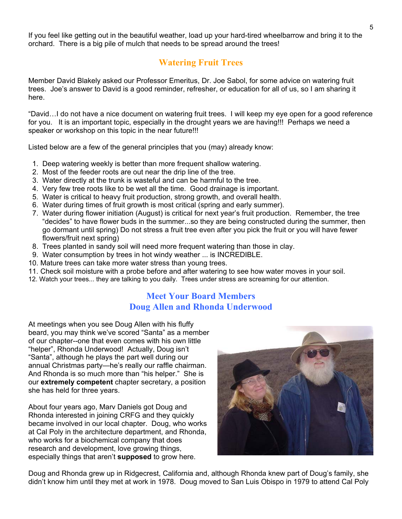If you feel like getting out in the beautiful weather, load up your hard-tired wheelbarrow and bring it to the orchard. There is a big pile of mulch that needs to be spread around the trees!

## **Watering Fruit Trees**

Member David Blakely asked our Professor Emeritus, Dr. Joe Sabol, for some advice on watering fruit trees. Joe's answer to David is a good reminder, refresher, or education for all of us, so I am sharing it here.

"David…I do not have a nice document on watering fruit trees. I will keep my eye open for a good reference for you. It is an important topic, especially in the drought years we are having!!! Perhaps we need a speaker or workshop on this topic in the near future!!!

Listed below are a few of the general principles that you (may) already know:

- 1. Deep watering weekly is better than more frequent shallow watering.
- 2. Most of the feeder roots are out near the drip line of the tree.
- 3. Water directly at the trunk is wasteful and can be harmful to the tree.
- 4. Very few tree roots like to be wet all the time. Good drainage is important.
- 5. Water is critical to heavy fruit production, strong growth, and overall health.
- 6. Water during times of fruit growth is most critical (spring and early summer).
- 7. Water during flower initiation (August) is critical for next year's fruit production. Remember, the tree "decides" to have flower buds in the summer...so they are being constructed during the summer, then go dormant until spring) Do not stress a fruit tree even after you pick the fruit or you will have fewer flowers/fruit next spring)
- 8. Trees planted in sandy soil will need more frequent watering than those in clay.
- 9. Water consumption by trees in hot windy weather ... is INCREDIBLE.
- 10. Mature trees can take more water stress than young trees.
- 11. Check soil moisture with a probe before and after watering to see how water moves in your soil.
- 12. Watch your trees... they are talking to you daily. Trees under stress are screaming for our attention.

#### **Meet Your Board Members Doug Allen and Rhonda Underwood**

At meetings when you see Doug Allen with his fluffy beard, you may think we've scored "Santa" as a member of our chapter--one that even comes with his own little "helper", Rhonda Underwood! Actually, Doug isn't "Santa", although he plays the part well during our annual Christmas party—he's really our raffle chairman. And Rhonda is so much more than "his helper." She is our **extremely competent** chapter secretary, a position she has held for three years.

About four years ago, Marv Daniels got Doug and Rhonda interested in joining CRFG and they quickly became involved in our local chapter. Doug, who works at Cal Poly in the architecture department, and Rhonda, who works for a biochemical company that does research and development, love growing things, especially things that aren't **supposed** to grow here.



Doug and Rhonda grew up in Ridgecrest, California and, although Rhonda knew part of Doug's family, she didn't know him until they met at work in 1978. Doug moved to San Luis Obispo in 1979 to attend Cal Poly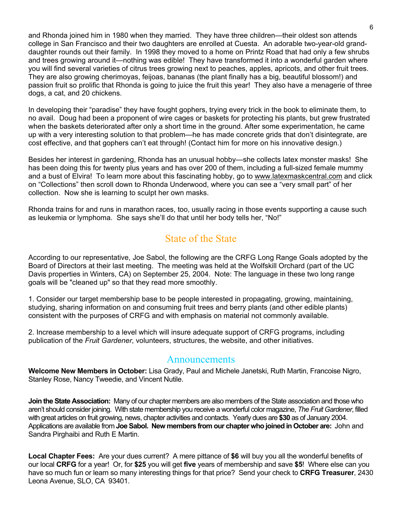and Rhonda joined him in 1980 when they married. They have three children—their oldest son attends college in San Francisco and their two daughters are enrolled at Cuesta. An adorable two-year-old granddaughter rounds out their family. In 1998 they moved to a home on Printz Road that had only a few shrubs and trees growing around it—nothing was edible! They have transformed it into a wonderful garden where you will find several varieties of citrus trees growing next to peaches, apples, apricots, and other fruit trees. They are also growing cherimoyas, feijoas, bananas (the plant finally has a big, beautiful blossom!) and passion fruit so prolific that Rhonda is going to juice the fruit this year! They also have a menagerie of three dogs, a cat, and 20 chickens.

In developing their "paradise" they have fought gophers, trying every trick in the book to eliminate them, to no avail. Doug had been a proponent of wire cages or baskets for protecting his plants, but grew frustrated when the baskets deteriorated after only a short time in the ground. After some experimentation, he came up with a very interesting solution to that problem—he has made concrete grids that don't disintegrate, are cost effective, and that gophers can't eat through! (Contact him for more on his innovative design.)

Besides her interest in gardening, Rhonda has an unusual hobby—she collects latex monster masks! She has been doing this for twenty plus years and has over 200 of them, including a full-sized female mummy and a bust of Elvira! To learn more about this fascinating hobby, go to [www.latexmaskcentral.com](http://www.latexmaskcentral.com/) and click on "Collections" then scroll down to Rhonda Underwood, where you can see a "very small part" of her collection. Now she is learning to sculpt her own masks.

Rhonda trains for and runs in marathon races, too, usually racing in those events supporting a cause such as leukemia or lymphoma. She says she'll do that until her body tells her, "No!"

# State of the State

According to our representative, Joe Sabol, the following are the CRFG Long Range Goals adopted by the Board of Directors at their last meeting. The meeting was held at the Wolfskill Orchard (part of the UC Davis properties in Winters, CA) on September 25, 2004. Note: The language in these two long range goals will be "cleaned up" so that they read more smoothly.

1. Consider our target membership base to be people interested in propagating, growing, maintaining, studying, sharing information on and consuming fruit trees and berry plants (and other edible plants) consistent with the purposes of CRFG and with emphasis on material not commonly available.

2. Increase membership to a level which will insure adequate support of CRFG programs, including publication of the *Fruit Gardener*, volunteers, structures, the website, and other initiatives.

#### Announcements

**Welcome New Members in October:** Lisa Grady, Paul and Michele Janetski, Ruth Martin, Francoise Nigro, Stanley Rose, Nancy Tweedie, and Vincent Nutile.

**Join the State Association:** Many of our chapter members are also members of the State association and those who aren't should consider joining. With state membership you receive a wonderful color magazine, *The Fruit Gardener*, filled with great articles on fruit growing, news, chapter activities and contacts. Yearly dues are **\$30** as of January 2004. Applications are available from **Joe Sabol. New members from our chapter who joined in October are:** John and Sandra Pirghaibi and Ruth E Martin.

**Local Chapter Fees:** Are your dues current?A mere pittance of **\$6** will buy you all the wonderful benefits of our local **CRFG** for a year! Or, for **\$25** you will get **five** years of membership and save **\$5**! Where else can you have so much fun or learn so many interesting things for that price? Send your check to **CRFG Treasurer**, 2430 Leona Avenue, SLO, CA 93401.